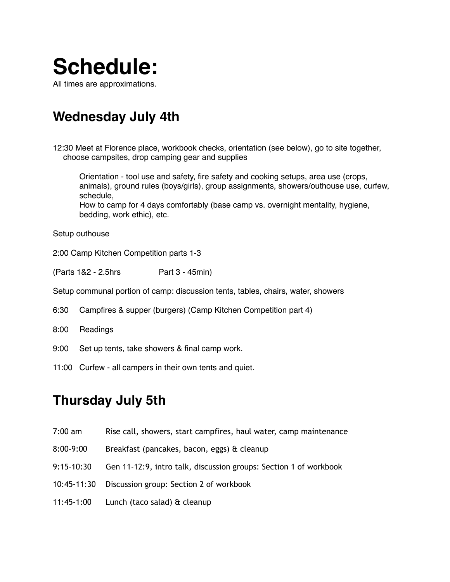

**Wednesday July 4th**

12:30 Meet at Florence place, workbook checks, orientation (see below), go to site together, choose campsites, drop camping gear and supplies

Orientation - tool use and safety, fire safety and cooking setups, area use (crops, animals), ground rules (boys/girls), group assignments, showers/outhouse use, curfew, schedule, How to camp for 4 days comfortably (base camp vs. overnight mentality, hygiene, bedding, work ethic), etc.

Setup outhouse

2:00 Camp Kitchen Competition parts 1-3

(Parts 1&2 - 2.5hrs Part 3 - 45min)

Setup communal portion of camp: discussion tents, tables, chairs, water, showers

6:30 Campfires & supper (burgers) (Camp Kitchen Competition part 4)

- 8:00 Readings
- 9:00 Set up tents, take showers & final camp work.
- 11:00 Curfew all campers in their own tents and quiet.

#### **Thursday July 5th**

- 7:00 am Rise call, showers, start campfires, haul water, camp maintenance
- 8:00-9:00 Breakfast (pancakes, bacon, eggs) & cleanup
- 9:15-10:30 Gen 11-12:9, intro talk, discussion groups: Section 1 of workbook
- 10:45-11:30 Discussion group: Section 2 of workbook
- 11:45-1:00 Lunch (taco salad) & cleanup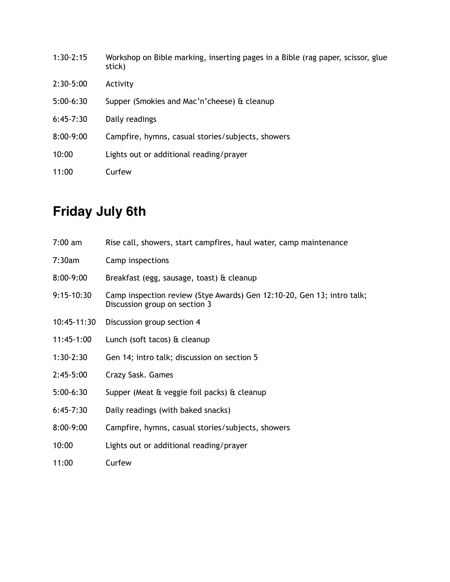| $1:30-2:15$ | Workshop on Bible marking, inserting pages in a Bible (rag paper, scissor, glue<br>stick) |
|-------------|-------------------------------------------------------------------------------------------|
| $2:30-5:00$ | Activity                                                                                  |
| $5:00-6:30$ | Supper (Smokies and Mac'n'cheese) & cleanup                                               |
| $6:45-7:30$ | Daily readings                                                                            |
| $8:00-9:00$ | Campfire, hymns, casual stories/subjects, showers                                         |
| 10:00       | Lights out or additional reading/prayer                                                   |
| 11:00       | Curfew                                                                                    |

## **Friday July 6th**

| $7:00$ am    | Rise call, showers, start campfires, haul water, camp maintenance                                       |
|--------------|---------------------------------------------------------------------------------------------------------|
| 7:30am       | Camp inspections                                                                                        |
| 8:00-9:00    | Breakfast (egg, sausage, toast) & cleanup                                                               |
| $9:15-10:30$ | Camp inspection review (Stye Awards) Gen 12:10-20, Gen 13; intro talk;<br>Discussion group on section 3 |
| 10:45-11:30  | Discussion group section 4                                                                              |
| $11:45-1:00$ | Lunch (soft tacos) & cleanup                                                                            |
| $1:30-2:30$  | Gen 14; intro talk; discussion on section 5                                                             |
| $2:45-5:00$  | Crazy Sask. Games                                                                                       |
| $5:00-6:30$  | Supper (Meat & veggie foil packs) & cleanup                                                             |
| $6:45-7:30$  | Daily readings (with baked snacks)                                                                      |
| 8:00-9:00    | Campfire, hymns, casual stories/subjects, showers                                                       |
| 10:00        | Lights out or additional reading/prayer                                                                 |
| 11:00        | Curfew                                                                                                  |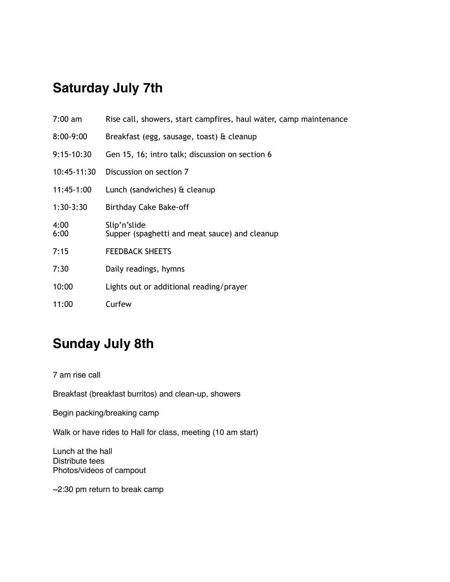### **Saturday July 7th**

| $7:00$ am    | Rise call, showers, start campfires, haul water, camp maintenance |
|--------------|-------------------------------------------------------------------|
| 8:00-9:00    | Breakfast (egg, sausage, toast) & cleanup                         |
| $9:15-10:30$ | Gen 15, 16; intro talk; discussion on section 6                   |
| 10:45-11:30  | Discussion on section 7                                           |
| 11:45-1:00   | Lunch (sandwiches) & cleanup                                      |
| $1:30-3:30$  | Birthday Cake Bake-off                                            |
| 4:00<br>6:00 | Slip'n'slide<br>Supper (spaghetti and meat sauce) and cleanup     |
| 7:15         | <b>FEEDBACK SHEETS</b>                                            |
| 7:30         | Daily readings, hymns                                             |
| 10:00        | Lights out or additional reading/prayer                           |
| 11:00        | Curfew                                                            |

#### **Sunday July 8th**

7 am rise call

Breakfast (breakfast burritos) and clean-up, showers

Begin packing/breaking camp

Walk or have rides to Hall for class, meeting (10 am start)

Lunch at the hall Distribute tees Photos/videos of campout

~2:30 pm return to break camp